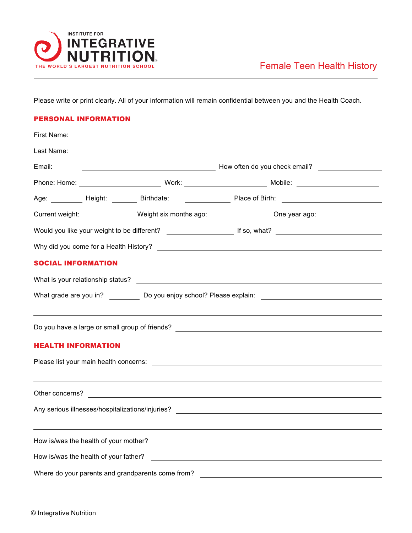

Please write or print clearly. All of your information will remain confidential between you and the Health Coach.

## PERSONAL INFORMATION

| Last Name:                |                                                   | <u> 1989 - Johann Harry Harry Harry Harry Harry Harry Harry Harry Harry Harry Harry Harry Harry Harry Harry Harry</u> |  |                                                                                                                |  |  |  |
|---------------------------|---------------------------------------------------|-----------------------------------------------------------------------------------------------------------------------|--|----------------------------------------------------------------------------------------------------------------|--|--|--|
| Email:                    |                                                   |                                                                                                                       |  |                                                                                                                |  |  |  |
|                           |                                                   |                                                                                                                       |  |                                                                                                                |  |  |  |
|                           |                                                   |                                                                                                                       |  | Age: Meight: Network: Birthdate: Network: Place of Birth: Network: Network: Network: Network: Network: Network |  |  |  |
|                           |                                                   |                                                                                                                       |  | Current weight: _______________ Weight six months ago: ________________ One year ago: _____________            |  |  |  |
|                           |                                                   |                                                                                                                       |  |                                                                                                                |  |  |  |
|                           |                                                   |                                                                                                                       |  |                                                                                                                |  |  |  |
| <b>SOCIAL INFORMATION</b> |                                                   |                                                                                                                       |  |                                                                                                                |  |  |  |
|                           |                                                   |                                                                                                                       |  |                                                                                                                |  |  |  |
|                           |                                                   |                                                                                                                       |  |                                                                                                                |  |  |  |
|                           |                                                   |                                                                                                                       |  |                                                                                                                |  |  |  |
| <b>HEALTH INFORMATION</b> |                                                   |                                                                                                                       |  |                                                                                                                |  |  |  |
|                           |                                                   |                                                                                                                       |  |                                                                                                                |  |  |  |
|                           |                                                   |                                                                                                                       |  |                                                                                                                |  |  |  |
|                           |                                                   |                                                                                                                       |  |                                                                                                                |  |  |  |
|                           |                                                   |                                                                                                                       |  |                                                                                                                |  |  |  |
|                           |                                                   |                                                                                                                       |  |                                                                                                                |  |  |  |
|                           |                                                   |                                                                                                                       |  |                                                                                                                |  |  |  |
|                           |                                                   |                                                                                                                       |  |                                                                                                                |  |  |  |
|                           | Where do your parents and grandparents come from? |                                                                                                                       |  | <u> 1980 - Andrea Brand, amerikansk politik (</u>                                                              |  |  |  |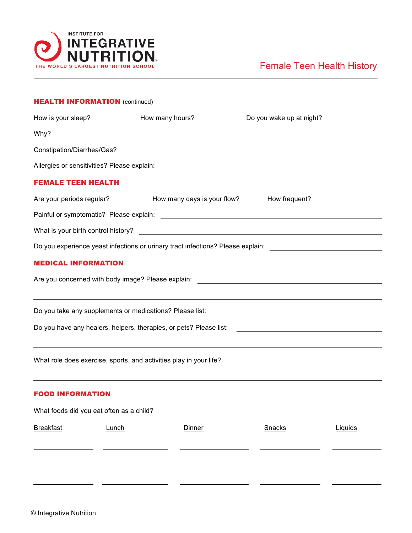

## Female Teen Health History

| <b>HEALTH INFORMATION</b> (continued)    |                                                                                                           |        |                                                                                                                        |         |  |  |  |
|------------------------------------------|-----------------------------------------------------------------------------------------------------------|--------|------------------------------------------------------------------------------------------------------------------------|---------|--|--|--|
|                                          | How is your sleep? ______________ How many hours? ______________ Do you wake up at night? _______________ |        |                                                                                                                        |         |  |  |  |
|                                          |                                                                                                           |        |                                                                                                                        |         |  |  |  |
| Constipation/Diarrhea/Gas?               |                                                                                                           |        | <u> 1980 - Andrea Andrew Maria (h. 1980).</u>                                                                          |         |  |  |  |
|                                          |                                                                                                           |        |                                                                                                                        |         |  |  |  |
| <b>FEMALE TEEN HEALTH</b>                |                                                                                                           |        |                                                                                                                        |         |  |  |  |
|                                          |                                                                                                           |        | Are your periods regular? ____________ How many days is your flow? _______ How frequent? _________________             |         |  |  |  |
|                                          |                                                                                                           |        |                                                                                                                        |         |  |  |  |
|                                          |                                                                                                           |        |                                                                                                                        |         |  |  |  |
|                                          |                                                                                                           |        | Do you experience yeast infections or urinary tract infections? Please explain: ______________________________         |         |  |  |  |
| <b>MEDICAL INFORMATION</b>               |                                                                                                           |        |                                                                                                                        |         |  |  |  |
|                                          |                                                                                                           |        |                                                                                                                        |         |  |  |  |
|                                          |                                                                                                           |        | <u> 1989 - Andrea Santana, amerikana amerikana amerikana amerikana amerikana amerikana amerikana amerikana amerika</u> |         |  |  |  |
|                                          |                                                                                                           |        |                                                                                                                        |         |  |  |  |
|                                          |                                                                                                           |        |                                                                                                                        |         |  |  |  |
|                                          |                                                                                                           |        | <u> 1989 - Andrea Santana, amerikana amerikana amerikana amerikana amerikana amerikana amerikana amerikana amerika</u> |         |  |  |  |
|                                          |                                                                                                           |        |                                                                                                                        |         |  |  |  |
|                                          |                                                                                                           |        |                                                                                                                        |         |  |  |  |
| <b>FOOD INFORMATION</b>                  |                                                                                                           |        | ,我们也不会有什么。""我们的人,我们也不会有什么?""我们的人,我们也不会有什么?""我们的人,我们也不会有什么?""我们的人,我们也不会有什么?""我们的人                                       |         |  |  |  |
|                                          |                                                                                                           |        |                                                                                                                        |         |  |  |  |
| What foods did you eat often as a child? |                                                                                                           |        |                                                                                                                        |         |  |  |  |
| <b>Breakfast</b>                         | Lunch                                                                                                     | Dinner | Snacks                                                                                                                 | Liquids |  |  |  |
|                                          |                                                                                                           |        |                                                                                                                        |         |  |  |  |
|                                          |                                                                                                           |        |                                                                                                                        |         |  |  |  |
|                                          |                                                                                                           |        |                                                                                                                        |         |  |  |  |
|                                          |                                                                                                           |        |                                                                                                                        |         |  |  |  |